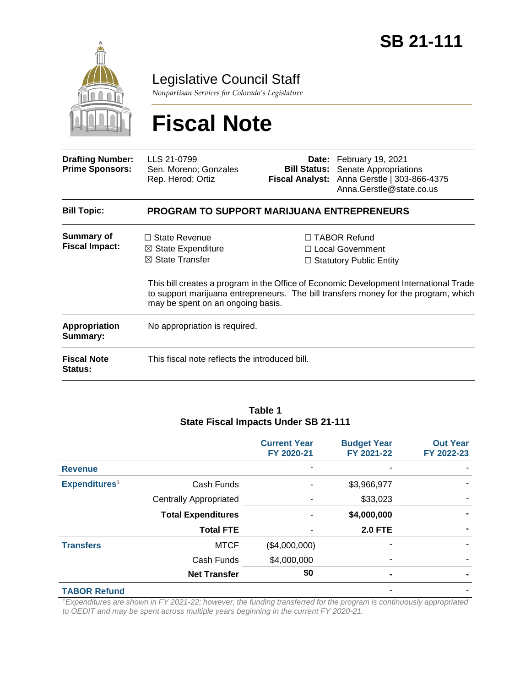

Legislative Council Staff

*Nonpartisan Services for Colorado's Legislature*

# **Fiscal Note**

| <b>Drafting Number:</b><br><b>Prime Sponsors:</b> | LLS 21-0799<br>Sen. Moreno; Gonzales<br>Rep. Herod; Ortiz                                                                |  | Date: February 19, 2021<br><b>Bill Status:</b> Senate Appropriations<br>Fiscal Analyst: Anna Gerstle   303-866-4375<br>Anna.Gerstle@state.co.us                                                                                                             |  |  |
|---------------------------------------------------|--------------------------------------------------------------------------------------------------------------------------|--|-------------------------------------------------------------------------------------------------------------------------------------------------------------------------------------------------------------------------------------------------------------|--|--|
| <b>Bill Topic:</b>                                | <b>PROGRAM TO SUPPORT MARIJUANA ENTREPRENEURS</b>                                                                        |  |                                                                                                                                                                                                                                                             |  |  |
| <b>Summary of</b><br><b>Fiscal Impact:</b>        | $\Box$ State Revenue<br>$\boxtimes$ State Expenditure<br>$\boxtimes$ State Transfer<br>may be spent on an ongoing basis. |  | $\Box$ TABOR Refund<br>□ Local Government<br>$\Box$ Statutory Public Entity<br>This bill creates a program in the Office of Economic Development International Trade<br>to support marijuana entrepreneurs. The bill transfers money for the program, which |  |  |
| <b>Appropriation</b><br>Summary:                  | No appropriation is required.                                                                                            |  |                                                                                                                                                                                                                                                             |  |  |
| <b>Fiscal Note</b><br><b>Status:</b>              | This fiscal note reflects the introduced bill.                                                                           |  |                                                                                                                                                                                                                                                             |  |  |

#### **Table 1 State Fiscal Impacts Under SB 21-111**

|                           |                               | <b>Current Year</b><br>FY 2020-21 | <b>Budget Year</b><br>FY 2021-22 | <b>Out Year</b><br>FY 2022-23 |
|---------------------------|-------------------------------|-----------------------------------|----------------------------------|-------------------------------|
| <b>Revenue</b>            |                               |                                   |                                  |                               |
| Expenditures <sup>1</sup> | Cash Funds                    |                                   | \$3,966,977                      |                               |
|                           | <b>Centrally Appropriated</b> |                                   | \$33,023                         |                               |
|                           | <b>Total Expenditures</b>     |                                   | \$4,000,000                      |                               |
|                           | <b>Total FTE</b>              |                                   | <b>2.0 FTE</b>                   |                               |
| <b>Transfers</b>          | <b>MTCF</b>                   | (\$4,000,000)                     |                                  |                               |
|                           | Cash Funds                    | \$4,000,000                       |                                  |                               |
|                           | <b>Net Transfer</b>           | \$0                               |                                  |                               |
| <b>TABOR Refund</b>       |                               |                                   |                                  |                               |

*<sup>1</sup>Expenditures are shown in FY 2021-22; however, the funding transferred for the program is continuously appropriated to OEDIT and may be spent across multiple years beginning in the current FY 2020-21.*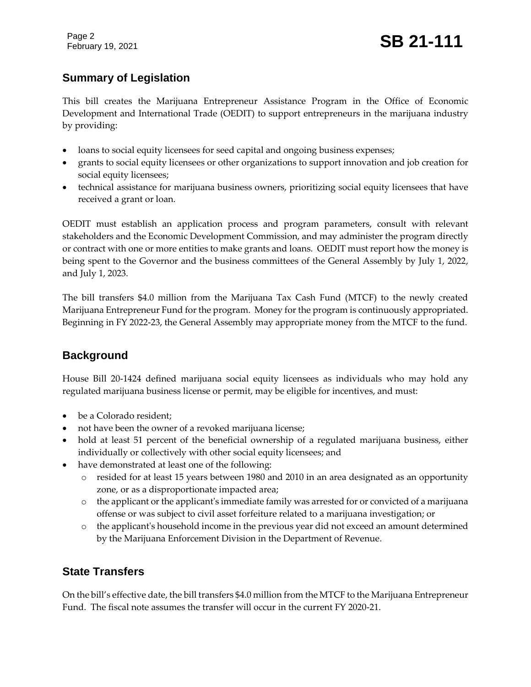Page 2

# **Summary of Legislation**

This bill creates the Marijuana Entrepreneur Assistance Program in the Office of Economic Development and International Trade (OEDIT) to support entrepreneurs in the marijuana industry by providing:

- loans to social equity licensees for seed capital and ongoing business expenses;
- grants to social equity licensees or other organizations to support innovation and job creation for social equity licensees;
- technical assistance for marijuana business owners, prioritizing social equity licensees that have received a grant or loan.

OEDIT must establish an application process and program parameters, consult with relevant stakeholders and the Economic Development Commission, and may administer the program directly or contract with one or more entities to make grants and loans. OEDIT must report how the money is being spent to the Governor and the business committees of the General Assembly by July 1, 2022, and July 1, 2023.

The bill transfers \$4.0 million from the Marijuana Tax Cash Fund (MTCF) to the newly created Marijuana Entrepreneur Fund for the program. Money for the program is continuously appropriated. Beginning in FY 2022-23, the General Assembly may appropriate money from the MTCF to the fund.

## **Background**

House Bill 20-1424 defined marijuana social equity licensees as individuals who may hold any regulated marijuana business license or permit, may be eligible for incentives, and must:

- be a Colorado resident;
- not have been the owner of a revoked marijuana license;
- hold at least 51 percent of the beneficial ownership of a regulated marijuana business, either individually or collectively with other social equity licensees; and
- have demonstrated at least one of the following:
	- o resided for at least 15 years between 1980 and 2010 in an area designated as an opportunity zone, or as a disproportionate impacted area;
	- o the applicant or the applicant's immediate family was arrested for or convicted of a marijuana offense or was subject to civil asset forfeiture related to a marijuana investigation; or
	- o the applicant's household income in the previous year did not exceed an amount determined by the Marijuana Enforcement Division in the Department of Revenue.

## **State Transfers**

On the bill's effective date, the bill transfers \$4.0 million from the MTCF to the Marijuana Entrepreneur Fund. The fiscal note assumes the transfer will occur in the current FY 2020-21.